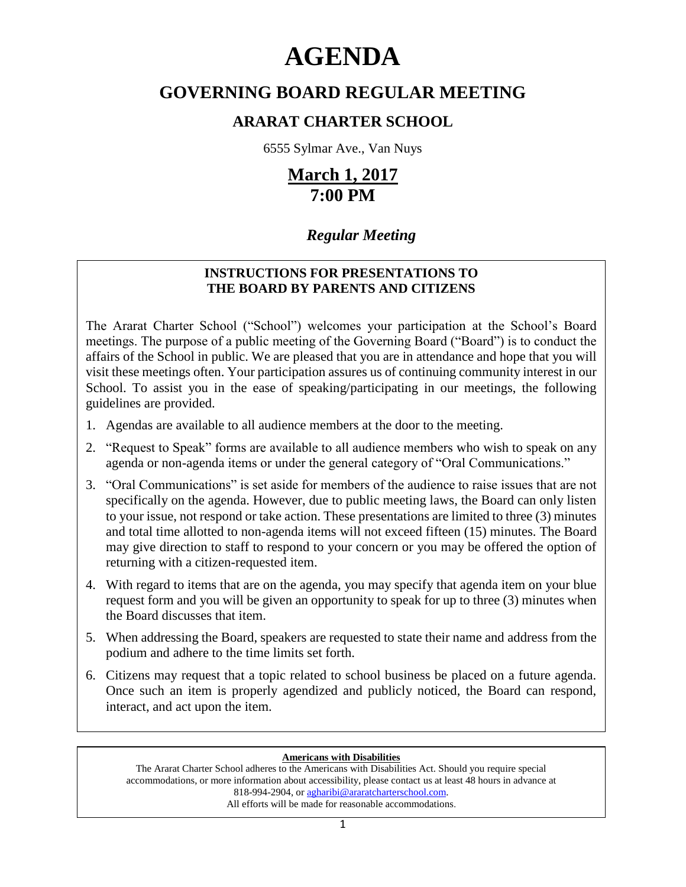# **AGENDA**

# **GOVERNING BOARD REGULAR MEETING**

# **ARARAT CHARTER SCHOOL**

6555 Sylmar Ave., Van Nuys

# **March 1, 2017 7:00 PM**

# *Regular Meeting*

# **INSTRUCTIONS FOR PRESENTATIONS TO THE BOARD BY PARENTS AND CITIZENS**

The Ararat Charter School ("School") welcomes your participation at the School's Board meetings. The purpose of a public meeting of the Governing Board ("Board") is to conduct the affairs of the School in public. We are pleased that you are in attendance and hope that you will visit these meetings often. Your participation assures us of continuing community interest in our School. To assist you in the ease of speaking/participating in our meetings, the following guidelines are provided.

- 1. Agendas are available to all audience members at the door to the meeting.
- 2. "Request to Speak" forms are available to all audience members who wish to speak on any agenda or non-agenda items or under the general category of "Oral Communications."
- 3. "Oral Communications" is set aside for members of the audience to raise issues that are not specifically on the agenda. However, due to public meeting laws, the Board can only listen to your issue, not respond or take action. These presentations are limited to three (3) minutes and total time allotted to non-agenda items will not exceed fifteen (15) minutes. The Board may give direction to staff to respond to your concern or you may be offered the option of returning with a citizen-requested item.
- 4. With regard to items that are on the agenda, you may specify that agenda item on your blue request form and you will be given an opportunity to speak for up to three (3) minutes when the Board discusses that item.
- 5. When addressing the Board, speakers are requested to state their name and address from the podium and adhere to the time limits set forth.
- 6. Citizens may request that a topic related to school business be placed on a future agenda. Once such an item is properly agendized and publicly noticed, the Board can respond, interact, and act upon the item.

# **Americans with Disabilities**

The Ararat Charter School adheres to the Americans with Disabilities Act. Should you require special accommodations, or more information about accessibility, please contact us at least 48 hours in advance at 818-994-2904, or agharibi@araratcharterschool.com. All efforts will be made for reasonable accommodations.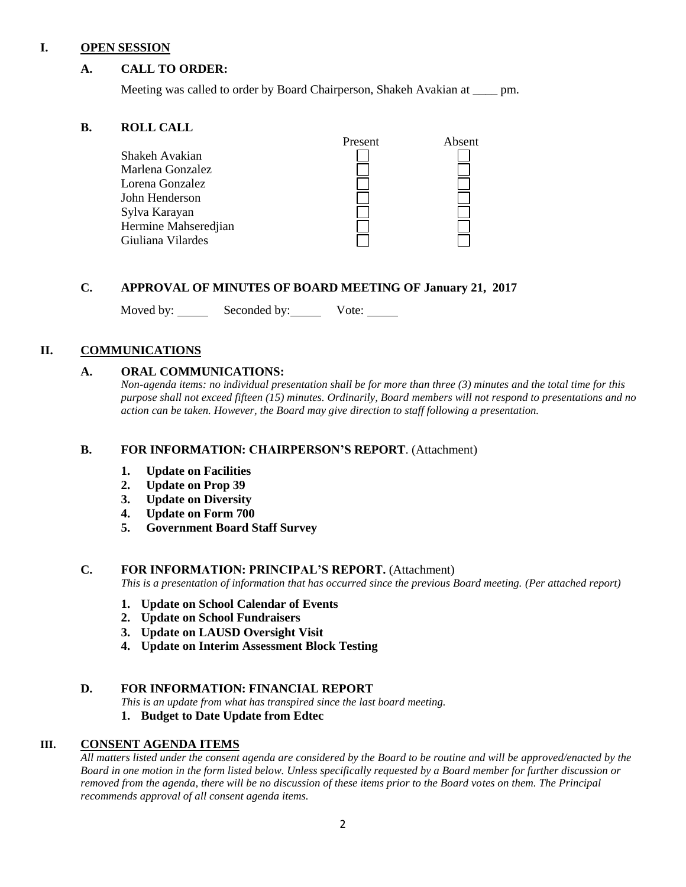### **I. OPEN SESSION**

# **A. CALL TO ORDER:**

Meeting was called to order by Board Chairperson, Shakeh Avakian at \_\_\_\_ pm.

### **B. ROLL CALL**

|                      | Present | Absent |
|----------------------|---------|--------|
| Shakeh Avakian       |         |        |
| Marlena Gonzalez     |         |        |
| Lorena Gonzalez      |         |        |
| John Henderson       |         |        |
| Sylva Karayan        |         |        |
| Hermine Mahseredjian |         |        |
| Giuliana Vilardes    |         |        |

# **C. APPROVAL OF MINUTES OF BOARD MEETING OF January 21, 2017**

Moved by: Seconded by: Vote: Vote:

# **II. COMMUNICATIONS**

# **A. ORAL COMMUNICATIONS:**

*Non-agenda items: no individual presentation shall be for more than three (3) minutes and the total time for this purpose shall not exceed fifteen (15) minutes. Ordinarily, Board members will not respond to presentations and no action can be taken. However, the Board may give direction to staff following a presentation.*

# **B. FOR INFORMATION: CHAIRPERSON'S REPORT**. (Attachment)

- **1. Update on Facilities**
- **2. Update on Prop 39**
- **3. Update on Diversity**
- **4. Update on Form 700**
- **5. Government Board Staff Survey**

# **C. FOR INFORMATION: PRINCIPAL'S REPORT.** (Attachment)

*This is a presentation of information that has occurred since the previous Board meeting. (Per attached report)*

- **1. Update on School Calendar of Events**
- **2. Update on School Fundraisers**
- **3. Update on LAUSD Oversight Visit**
- **4. Update on Interim Assessment Block Testing**

#### **D. FOR INFORMATION: FINANCIAL REPORT**

*This is an update from what has transpired since the last board meeting.*

#### **1. Budget to Date Update from Edtec**

# **III. CONSENT AGENDA ITEMS**

*All matters listed under the consent agenda are considered by the Board to be routine and will be approved/enacted by the Board in one motion in the form listed below. Unless specifically requested by a Board member for further discussion or removed from the agenda, there will be no discussion of these items prior to the Board votes on them. The Principal recommends approval of all consent agenda items.*